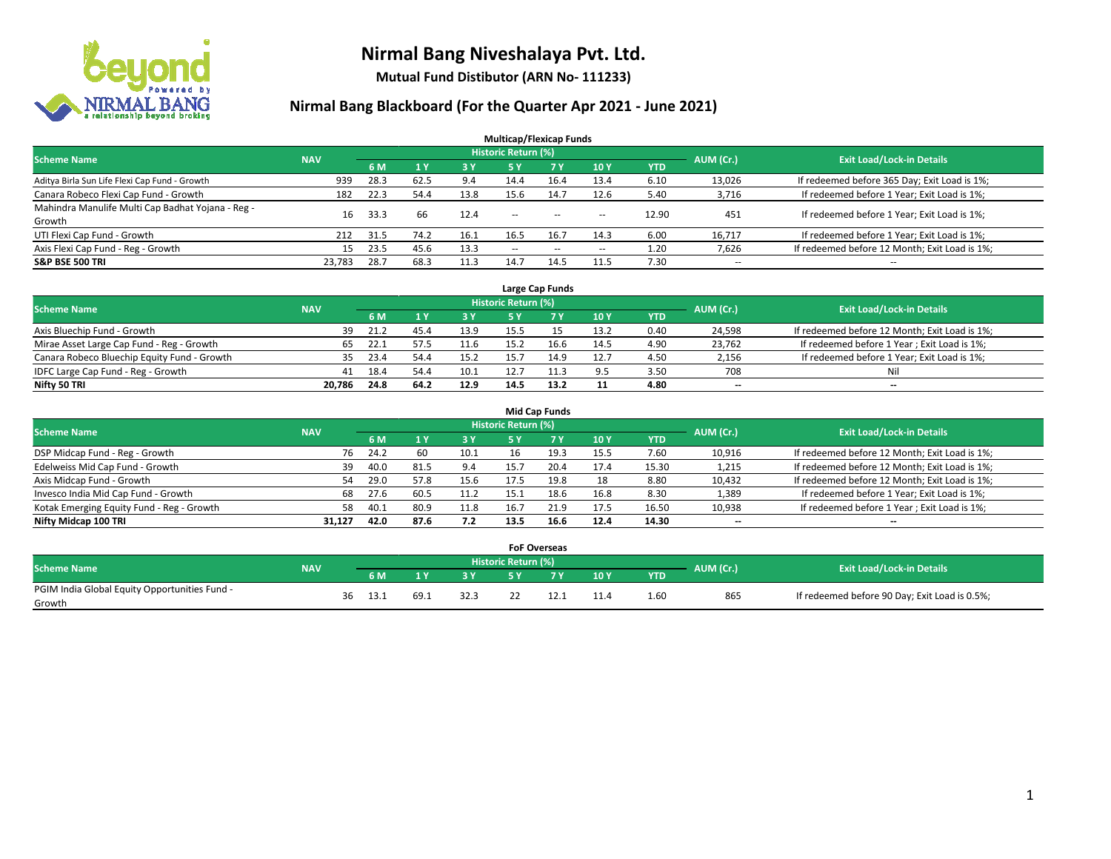

**Mutual Fund Distibutor (ARN No- 111233)**

|                                                   |            |      |      |      | <b>Multicap/Flexicap Funds</b> |                |                          |            |                          |                                               |
|---------------------------------------------------|------------|------|------|------|--------------------------------|----------------|--------------------------|------------|--------------------------|-----------------------------------------------|
| <b>Scheme Name</b>                                | <b>NAV</b> |      |      |      | <b>Historic Return (%)</b>     |                |                          |            | AUM (Cr.)                | <b>Exit Load/Lock-in Details</b>              |
|                                                   |            | 6 M  |      | 3 Y  | 5 Y                            | 7 <sup>V</sup> | 10Y                      | <b>YTD</b> |                          |                                               |
| Aditya Birla Sun Life Flexi Cap Fund - Growth     | 939        | 28.3 | 62.5 | 9.4  | 14.4                           | 16.4           | 13.4                     | 6.10       | 13,026                   | If redeemed before 365 Day; Exit Load is 1%;  |
| Canara Robeco Flexi Cap Fund - Growth             | 182        | 22.3 | 54.4 | 13.8 | 15.6                           | 14.7           | 12.6                     | 5.40       | 3,716                    | If redeemed before 1 Year; Exit Load is 1%;   |
| Mahindra Manulife Multi Cap Badhat Yojana - Reg - | 16         | 33.3 | 66   | 12.4 | $\sim$ $\sim$                  | $\sim$         | $\sim$ $\sim$            | 12.90      | 451                      | If redeemed before 1 Year; Exit Load is 1%;   |
| Growth                                            |            |      |      |      |                                |                |                          |            |                          |                                               |
| UTI Flexi Cap Fund - Growth                       | 212        | 31.5 | 74.2 | 16.1 | 16.5                           | 16.7           | 14.3                     | 6.00       | 16,717                   | If redeemed before 1 Year; Exit Load is 1%;   |
| Axis Flexi Cap Fund - Reg - Growth                | 15         | 23.5 | 45.6 | 13.3 | $\sim$ $\sim$                  | $- -$          | $\hspace{0.05cm} \ldots$ | 1.20       | 7,626                    | If redeemed before 12 Month; Exit Load is 1%; |
| <b>S&amp;P BSE 500 TRI</b>                        | 23,783     | 28.7 | 68.3 | 11.3 | 14.7                           | 14.5           | 11.5                     | 7.30       | $\overline{\phantom{a}}$ | $- -$                                         |

|                                             |            |             |      |      |                            | Large Cap Funds |      |            |           |                                               |
|---------------------------------------------|------------|-------------|------|------|----------------------------|-----------------|------|------------|-----------|-----------------------------------------------|
| <b>Scheme Name</b>                          | <b>NAV</b> |             |      |      | <b>Historic Return (%)</b> |                 |      |            | AUM (Cr.) | <b>Exit Load/Lock-in Details</b>              |
|                                             |            | 6 M         |      | 3 Y  |                            | 7 Y             | 10Y  | <b>YTD</b> |           |                                               |
| Axis Bluechip Fund - Growth                 | 39         | 21.2        | 45.7 | 13.9 | 15.5                       |                 | 13.2 | 0.40       | 24,598    | If redeemed before 12 Month; Exit Load is 1%; |
| Mirae Asset Large Cap Fund - Reg - Growth   | 65         | -22.1       | 57.5 | 11.6 | 15.2                       | 16.6            | 14.5 | 4.90       | 23,762    | If redeemed before 1 Year; Exit Load is 1%;   |
| Canara Robeco Bluechip Equity Fund - Growth |            | 35.<br>23.4 |      | 15.2 |                            |                 | 12.7 | 4.50       | 2,156     | If redeemed before 1 Year; Exit Load is 1%;   |
| IDFC Large Cap Fund - Reg - Growth          | 41         | 18.4        | 54.4 | 10.1 | 12.7                       |                 | 9.5  | 3.50       | 708       | Ni                                            |
| Nifty 50 TRI                                | 20.786     | 24.8        | 64.2 | 12.9 | 14.5                       | 13.2            | 11   | 4.80       | $- -$     | $-$                                           |

| <b>Mid Cap Funds</b>                      |            |                                  |      |      |           |      |      |      |            |                          |                                               |  |  |
|-------------------------------------------|------------|----------------------------------|------|------|-----------|------|------|------|------------|--------------------------|-----------------------------------------------|--|--|
| <b>Scheme Name</b>                        | AUM (Cr.)  | <b>Exit Load/Lock-in Details</b> |      |      |           |      |      |      |            |                          |                                               |  |  |
|                                           | <b>NAV</b> |                                  | 6 M  |      | <b>3Y</b> | 5 Y  |      | 10Y  | <b>YTD</b> |                          |                                               |  |  |
| DSP Midcap Fund - Reg - Growth            |            | 76                               | 24.2 | 60   | 10.1      | 16   | 19.3 | 15.5 | 7.60       | 10,916                   | If redeemed before 12 Month; Exit Load is 1%; |  |  |
| Edelweiss Mid Cap Fund - Growth           |            | 39                               | 40.0 | 81.5 | 9.4       | 15.7 | 20.4 | 17.4 | 15.30      | 1,215                    | If redeemed before 12 Month; Exit Load is 1%; |  |  |
| Axis Midcap Fund - Growth                 |            | 54                               | 29.0 | 57.8 | 15.6      | 17.5 | 19.8 | 18   | 8.80       | 10,432                   | If redeemed before 12 Month; Exit Load is 1%; |  |  |
| Invesco India Mid Cap Fund - Growth       |            | 68                               | 27.6 | 60.5 | 11.2      | 15.1 | 18.6 | 16.8 | 8.30       | 1,389                    | If redeemed before 1 Year; Exit Load is 1%;   |  |  |
| Kotak Emerging Equity Fund - Reg - Growth |            | 58                               | 40.1 | 80.9 | 11.8      | 16.7 | 21.9 | 17.5 | 16.50      | 10,938                   | If redeemed before 1 Year; Exit Load is 1%;   |  |  |
| Nifty Midcap 100 TRI                      | 31.127     |                                  | 42.0 | 87.6 | 7.2       | 13.5 | 16.6 | 12.4 | 14.30      | $\overline{\phantom{m}}$ | $\overline{\phantom{a}}$                      |  |  |

|                                               |            |    |      |      |      |                     | <b>FoF Overseas</b> |      |            |           |                                               |
|-----------------------------------------------|------------|----|------|------|------|---------------------|---------------------|------|------------|-----------|-----------------------------------------------|
| Scheme Name                                   | <b>NAV</b> |    |      |      |      | Historic Return (%) |                     |      |            | AUM (Cr.) | <b>Exit Load/Lock-in Details</b>              |
|                                               |            |    | 6 M  |      | י כ  |                     |                     | 10Y  | <b>YTD</b> |           |                                               |
| PGIM India Global Equity Opportunities Fund - |            | 36 | 13.1 | 69.1 | 32.3 |                     |                     | ⊥⊥∙' | 1.60       | 865       | If redeemed before 90 Day; Exit Load is 0.5%; |
| Growth                                        |            |    |      |      |      |                     |                     |      |            |           |                                               |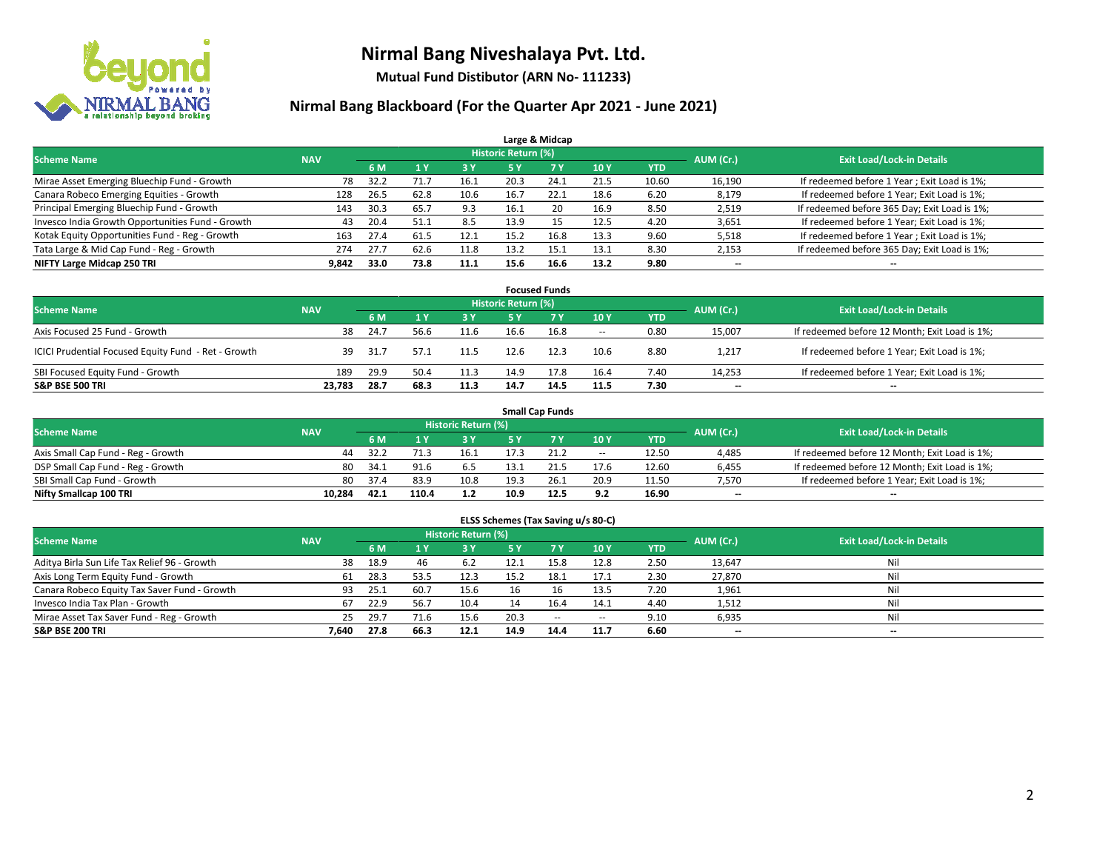

**Mutual Fund Distibutor (ARN No- 111233)**

|                                                  |            |      |      |            |                            | Large & Midcap |      |            |           |                                              |
|--------------------------------------------------|------------|------|------|------------|----------------------------|----------------|------|------------|-----------|----------------------------------------------|
| <b>Scheme Name</b>                               | <b>NAV</b> |      |      |            | <b>Historic Return (%)</b> |                |      |            | AUM (Cr.) | <b>Exit Load/Lock-in Details</b>             |
|                                                  |            | 6 M  |      | <b>3 Y</b> | 5 Y                        | 7 Y            | 10Y  | <b>YTD</b> |           |                                              |
| Mirae Asset Emerging Bluechip Fund - Growth      | 78         | 32.2 | 71.7 | 16.1       | 20.3                       | 24.1           | 21.5 | 10.60      | 16,190    | If redeemed before 1 Year; Exit Load is 1%;  |
| Canara Robeco Emerging Equities - Growth         | 128        | 26.5 | 62.8 | 10.6       | 16.7                       | 22.1           | 18.6 | 6.20       | 8,179     | If redeemed before 1 Year; Exit Load is 1%;  |
| Principal Emerging Bluechip Fund - Growth        | 143        | 30.3 | 65.7 | 9.3        | 16.1                       | 20             | 16.9 | 8.50       | 2,519     | If redeemed before 365 Day; Exit Load is 1%; |
| Invesco India Growth Opportunities Fund - Growth | 43         | 20.4 | 51.1 | 8.5        | 13.9                       | 15             | 12.5 | 4.20       | 3,651     | If redeemed before 1 Year; Exit Load is 1%;  |
| Kotak Equity Opportunities Fund - Reg - Growth   | 163        | 27.4 | 61.5 | 12.1       | 15.2                       | 16.8           | 13.3 | 9.60       | 5,518     | If redeemed before 1 Year; Exit Load is 1%;  |
| Tata Large & Mid Cap Fund - Reg - Growth         | 274        | 27.7 | 62.6 | 11.8       | 13.2                       | 15.1           | 13.1 | 8.30       | 2,153     | If redeemed before 365 Day; Exit Load is 1%; |
| NIFTY Large Midcap 250 TRI                       | 9,842      | 33.0 | 73.8 | 11.1       | 15.6                       | 16.6           | 13.2 | 9.80       | --        | --                                           |

|                                                     |            |      |      |      |                     | <b>Focused Funds</b> |        |            |           |                                               |
|-----------------------------------------------------|------------|------|------|------|---------------------|----------------------|--------|------------|-----------|-----------------------------------------------|
| <b>Scheme Name</b>                                  | <b>NAV</b> |      |      |      | Historic Return (%) |                      |        |            | AUM (Cr.) | <b>Exit Load/Lock-in Details</b>              |
|                                                     |            | 6 M  |      | 3 Y  | 5 Y                 |                      | 10Y    | <b>YTD</b> |           |                                               |
| Axis Focused 25 Fund - Growth                       | 38         | 24.7 | 56.6 | 11.6 | 16.6                | 16.8                 | $\sim$ | 0.80       | 15,007    | If redeemed before 12 Month; Exit Load is 1%; |
| ICICI Prudential Focused Equity Fund - Ret - Growth | 39         | 31.7 | 57.1 | 11.5 | 12.6                | 12.3                 | 10.6   | 8.80       | 1,217     | If redeemed before 1 Year; Exit Load is 1%;   |
| SBI Focused Equity Fund - Growth                    | 189        | 29.9 | 50.4 | 11.3 | 14.9                | 17.8                 | 16.4   | 7.40       | 14,253    | If redeemed before 1 Year; Exit Load is 1%;   |
| <b>S&amp;P BSE 500 TRI</b>                          | 23.783     | 28.7 | 68.3 | 11.3 | 14.7                | 14.5                 | 11.5   | 7.30       | $- -$     | $\overline{\phantom{a}}$                      |

|                                    |            |      |       |                     |      | <b>Small Cap Funds</b> |        |       |           |                                               |
|------------------------------------|------------|------|-------|---------------------|------|------------------------|--------|-------|-----------|-----------------------------------------------|
| <b>Scheme Name</b>                 | <b>NAV</b> |      |       | Historic Return (%) |      |                        |        |       | AUM (Cr.) | <b>Exit Load/Lock-in Details</b>              |
|                                    |            | 6 M  |       | 73 Y.               |      |                        | 10Y    | YTD   |           |                                               |
| Axis Small Cap Fund - Reg - Growth | 44         | 32.2 |       | 16.1                |      | 21.2                   | $\sim$ | 12.50 | 4,485     | If redeemed before 12 Month; Exit Load is 1%; |
| DSP Small Cap Fund - Reg - Growth  | 80         | 34.1 | 91.6  | 6.5                 | 13.1 | 21.5                   | 17.6   | 12.60 | 6,455     | If redeemed before 12 Month; Exit Load is 1%; |
| SBI Small Cap Fund - Growth        | 80         | 37.4 | 83.9  | 10.8                | 19.3 | 26.1                   | 20.9   | 11.50 | 7.570     | If redeemed before 1 Year; Exit Load is 1%;   |
| Nifty Smallcap 100 TRI             | 10.284     | 42.1 | 110.4 | 1.2                 | 10.9 | 12.5                   | 9.2    | 16.90 | $- -$     | $\overline{\phantom{a}}$                      |

|                                              |            |      |      |                            | ELSS Schemes (Tax Saving u/s 80-C) |           |        |            |           |                                  |
|----------------------------------------------|------------|------|------|----------------------------|------------------------------------|-----------|--------|------------|-----------|----------------------------------|
| <b>Scheme Name</b>                           | <b>NAV</b> |      |      | <b>Historic Return (%)</b> |                                    |           |        |            | AUM (Cr.) | <b>Exit Load/Lock-in Details</b> |
|                                              |            | 6 M  | 1Y   | 73 Y.                      | <b>5Y</b>                          | <b>7Y</b> | 10Y    | <b>YTD</b> |           |                                  |
| Aditya Birla Sun Life Tax Relief 96 - Growth | 38         | 18.9 | 46   | 6.2                        | 12.1                               | 15.8      | 12.8   | 2.50       | 13,647    | Ni                               |
| Axis Long Term Equity Fund - Growth          | 61         | 28.3 | 53.5 | 12.3                       | 15.2                               | 18.1      | 17.1   | 2.30       | 27,870    | Ni                               |
| Canara Robeco Equity Tax Saver Fund - Growth | 93         | 25.1 | 60.7 | 15.6                       |                                    | 16        | 13.5   | 7.20       | 1,961     | Ni                               |
| Invesco India Tax Plan - Growth              | 67         | 22.9 | 56.7 | 10.4                       |                                    | 16.4      | 14.1   | 4.40       | 1,512     | Ni                               |
| Mirae Asset Tax Saver Fund - Reg - Growth    | 25         | 29.7 | 71.6 | 15.6                       | 20.3                               | $\sim$    | $\sim$ | 9.10       | 6,935     | Ni                               |
| S&P BSE 200 TRI                              | 7,640      | 27.8 | 66.3 | 12.1                       | 14.9                               | 14.4      | 11.7   | 6.60       | $- -$     | $-$                              |
|                                              |            |      |      |                            |                                    |           |        |            |           |                                  |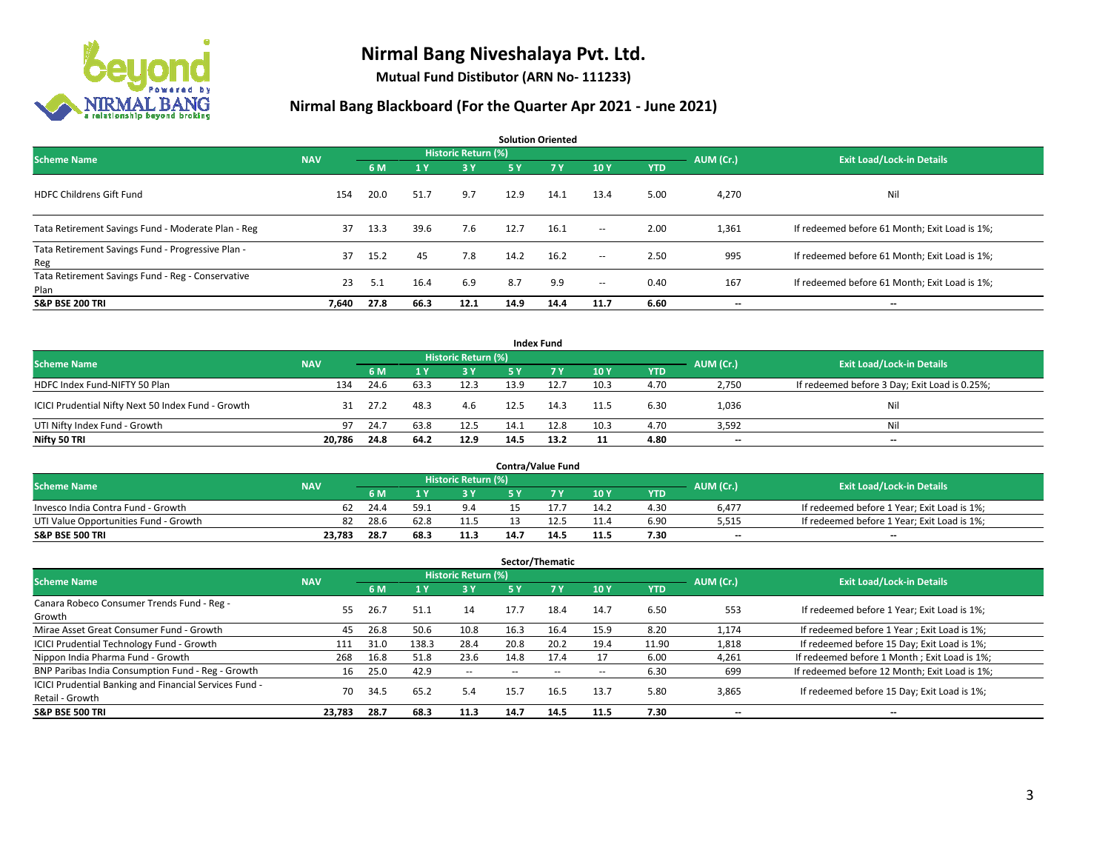

**Mutual Fund Distibutor (ARN No- 111233)**

|                                                           |            |      |      |                            |      | <b>Solution Oriented</b> |                          |            |           |                                               |
|-----------------------------------------------------------|------------|------|------|----------------------------|------|--------------------------|--------------------------|------------|-----------|-----------------------------------------------|
| <b>Scheme Name</b>                                        | <b>NAV</b> |      |      | <b>Historic Return (%)</b> |      |                          |                          |            | AUM (Cr.) | <b>Exit Load/Lock-in Details</b>              |
|                                                           |            | 6 M  | 1 Y  | 3 Y                        | 5 Y  | <b>7Y</b>                | 10Y                      | <b>YTD</b> |           |                                               |
| <b>HDFC Childrens Gift Fund</b>                           | 154        | 20.0 | 51.7 | 9.7                        | 12.9 | 14.1                     | 13.4                     | 5.00       | 4,270     | Nil                                           |
| Tata Retirement Savings Fund - Moderate Plan - Reg        | 37         | 13.3 | 39.6 | 7.6                        | 12.7 | 16.1                     | $\sim$ $\sim$            | 2.00       | 1,361     | If redeemed before 61 Month; Exit Load is 1%; |
| Tata Retirement Savings Fund - Progressive Plan -<br>Reg  | 37         | 15.2 | 45   | 7.8                        | 14.2 | 16.2                     | $ -$                     | 2.50       | 995       | If redeemed before 61 Month; Exit Load is 1%; |
| Tata Retirement Savings Fund - Reg - Conservative<br>Plan | 23         | 5.1  | 16.4 | 6.9                        | 8.7  | 9.9                      | $\overline{\phantom{a}}$ | 0.40       | 167       | If redeemed before 61 Month; Exit Load is 1%; |
| <b>S&amp;P BSE 200 TRI</b>                                | 7,640      | 27.8 | 66.3 | 12.1                       | 14.9 | 14.4                     | 11.7                     | 6.60       | --        | --                                            |

|                                                    |            |      |      |                     |      | <b>Index Fund</b> |      |            |           |                                               |
|----------------------------------------------------|------------|------|------|---------------------|------|-------------------|------|------------|-----------|-----------------------------------------------|
| <b>Scheme Name</b>                                 | <b>NAV</b> |      |      | Historic Return (%) |      |                   |      |            | AUM (Cr.) | <b>Exit Load/Lock-in Details</b>              |
|                                                    |            | 6 M  |      | 3 Y                 | 5 Y  | <b>77 Y</b>       | 10Y  | <b>YTD</b> |           |                                               |
| HDFC Index Fund-NIFTY 50 Plan                      | 134        | 24.6 | 63.3 | 12.3                | 13.9 | 12.7              | 10.3 | 4.70       | 2,750     | If redeemed before 3 Day; Exit Load is 0.25%; |
| ICICI Prudential Nifty Next 50 Index Fund - Growth | 31         | 27.2 | 48.3 | 4.6                 | 12.5 | 14.3              | 11.5 | 6.30       | 1,036     | Nil                                           |
| UTI Nifty Index Fund - Growth                      | 97         | 24.7 | 63.8 | 12.5                | 14.1 | 12.8              | 10.3 | 4.70       | 3,592     | Nil                                           |
| Nifty 50 TRI                                       | 20,786     | 24.8 | 64.2 | 12.9                | 14.5 | 13.2              | 11   | 4.80       | $- -$     | $\overline{\phantom{a}}$                      |

|                                       |            |      |      |                            |      | <b>Contra/Value Fund</b> |      |      |           |                                             |
|---------------------------------------|------------|------|------|----------------------------|------|--------------------------|------|------|-----------|---------------------------------------------|
| <b>Scheme Name</b>                    | <b>NAV</b> |      |      | <b>Historic Return (%)</b> |      |                          |      |      | AUM (Cr.) | <b>Exit Load/Lock-in Details</b>            |
|                                       |            | 6 M  |      | 2 V                        |      | 7 V                      | 10Y  | YTD  |           |                                             |
| Invesco India Contra Fund - Growth    | 62         | 24.4 | 59.7 | 9.4                        |      |                          | 14.2 | 4.30 | 6.477     | If redeemed before 1 Year; Exit Load is 1%; |
| UTI Value Opportunities Fund - Growth | 82         | 28.6 | 62.8 | 11.5                       |      |                          | 11.4 | 6.90 | 5,515     | If redeemed before 1 Year; Exit Load is 1%; |
| <b>S&amp;P BSE 500 TRI</b>            | 23.783     | 28.7 | 68.  | 11.3                       | 14.7 | 14.'                     | 11.5 | 7.30 | $- -$     | $-$                                         |

|                                                                           |            |      |       |                     |           | Sector/Thematic |      |            |           |                                               |
|---------------------------------------------------------------------------|------------|------|-------|---------------------|-----------|-----------------|------|------------|-----------|-----------------------------------------------|
| <b>Scheme Name</b>                                                        | <b>NAV</b> |      |       | Historic Return (%) |           |                 |      |            | AUM (Cr.) | <b>Exit Load/Lock-in Details</b>              |
|                                                                           |            | 6 M  |       | 3 Y                 | <b>5Y</b> | <b>7 Y</b>      | 10Y  | <b>YTD</b> |           |                                               |
| Canara Robeco Consumer Trends Fund - Reg -<br>Growth                      | 55.        | 26.7 | 51.1  | 14                  | 17.7      | 18.4            | 14.7 | 6.50       | 553       | If redeemed before 1 Year; Exit Load is 1%;   |
| Mirae Asset Great Consumer Fund - Growth                                  | 45         | 26.8 | 50.6  | 10.8                | 16.3      | 16.4            | 15.9 | 8.20       | 1,174     | If redeemed before 1 Year; Exit Load is 1%;   |
| <b>ICICI Prudential Technology Fund - Growth</b>                          | 111        | 31.0 | 138.3 | 28.4                | 20.8      | 20.2            | 19.4 | 11.90      | 1,818     | If redeemed before 15 Day; Exit Load is 1%;   |
| Nippon India Pharma Fund - Growth                                         | 268        | 16.8 | 51.8  | 23.6                | 14.8      | 17.4            |      | 6.00       | 4,261     | If redeemed before 1 Month; Exit Load is 1%;  |
| BNP Paribas India Consumption Fund - Reg - Growth                         | 16         | 25.0 | 42.9  | $- -$               |           |                 |      | 6.30       | 699       | If redeemed before 12 Month; Exit Load is 1%; |
| ICICI Prudential Banking and Financial Services Fund -<br>Retail - Growth | 70         | 34.5 | 65.2  | 5.4                 | 15.7      | 16.5            | 13.7 | 5.80       | 3,865     | If redeemed before 15 Day; Exit Load is 1%;   |
| <b>S&amp;P BSE 500 TRI</b>                                                | 23,783     | 28.7 | 68.3  | 11.3                | 14.7      | 14.5            | 11.5 | 7.30       | --        | --                                            |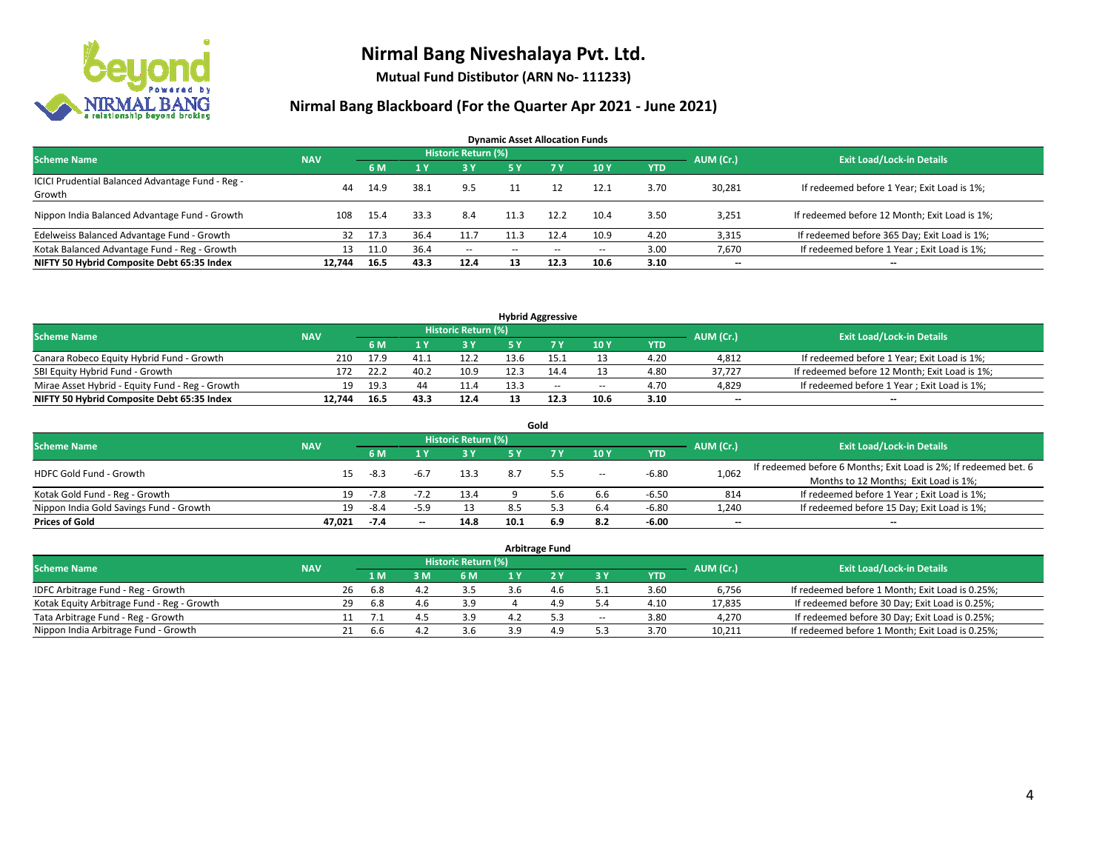

**Mutual Fund Distibutor (ARN No- 111233)**

| <b>Dynamic Asset Allocation Funds</b>            |            |      |                |                            |               |      |       |            |           |                                               |  |  |  |
|--------------------------------------------------|------------|------|----------------|----------------------------|---------------|------|-------|------------|-----------|-----------------------------------------------|--|--|--|
| <b>Scheme Name</b>                               | <b>NAV</b> |      |                | <b>Historic Return (%)</b> |               |      |       |            | AUM (Cr.) | <b>Exit Load/Lock-in Details</b>              |  |  |  |
|                                                  |            | 6 M  | 1 <sup>1</sup> | 3 Y                        | 5 Y           | 7 Y  | 10Y   | <b>YTD</b> |           |                                               |  |  |  |
| ICICI Prudential Balanced Advantage Fund - Reg - | 44         | 14.9 | 38.1           | 9.5                        |               |      | 12.1  | 3.70       | 30,281    | If redeemed before 1 Year; Exit Load is 1%;   |  |  |  |
| Growth                                           |            |      |                |                            |               |      |       |            |           |                                               |  |  |  |
| Nippon India Balanced Advantage Fund - Growth    | 108        | 15.4 | 33.3           | 8.4                        |               | 12.2 | 10.4  | 3.50       | 3,251     | If redeemed before 12 Month; Exit Load is 1%; |  |  |  |
| Edelweiss Balanced Advantage Fund - Growth       | 32         | 17.3 | 36.4           | 11.7                       |               | 12.4 | 10.9  | 4.20       | 3,315     | If redeemed before 365 Day; Exit Load is 1%;  |  |  |  |
| Kotak Balanced Advantage Fund - Reg - Growth     | 13         | 11.0 | 36.4           | $\sim$                     | $\sim$ $\sim$ | $-$  | $- -$ | 3.00       | 7,670     | If redeemed before 1 Year; Exit Load is 1%;   |  |  |  |
| NIFTY 50 Hybrid Composite Debt 65:35 Index       | 12.744     | 16.5 | 43.3           | 12.4                       | 13            | 12.3 | 10.6  | 3.10       | $- -$     | $\overline{\phantom{a}}$                      |  |  |  |

| <b>Hybrid Aggressive</b>                        |            |      |      |                     |      |        |        |            |           |                                               |  |  |  |
|-------------------------------------------------|------------|------|------|---------------------|------|--------|--------|------------|-----------|-----------------------------------------------|--|--|--|
| <b>Scheme Name</b>                              | <b>NAV</b> |      |      | Historic Return (%) |      |        |        |            | AUM (Cr.) | <b>Exit Load/Lock-in Details</b>              |  |  |  |
|                                                 |            | 6 M  |      | 3 Y                 |      |        | 10Y    | <b>YTD</b> |           |                                               |  |  |  |
| Canara Robeco Equity Hybrid Fund - Growth       | 210        | 17.9 |      | 12.2                | 13.6 |        | 13     | 4.20       | 4,812     | If redeemed before 1 Year; Exit Load is 1%;   |  |  |  |
| SBI Equity Hybrid Fund - Growth                 | 172        | 22.2 | 40.2 | 10.9                | 12.3 |        |        | 4.80       | 37.727    | If redeemed before 12 Month; Exit Load is 1%; |  |  |  |
| Mirae Asset Hybrid - Equity Fund - Reg - Growth | 19         | 19.3 |      | 11.4                | 13.3 | $\sim$ | $\sim$ | 4.70       | 4,829     | If redeemed before 1 Year; Exit Load is 1%;   |  |  |  |
| NIFTY 50 Hybrid Composite Debt 65:35 Index      | 12.744     | 16.5 | 43.3 | 12.4                |      | 12.3   | 10.6   | 3.10       | $-$       | $- -$                                         |  |  |  |

| Gold                                    |            |        |        |                     |      |     |       |         |                          |                                                                  |  |  |  |  |
|-----------------------------------------|------------|--------|--------|---------------------|------|-----|-------|---------|--------------------------|------------------------------------------------------------------|--|--|--|--|
| <b>Scheme Name</b>                      | <b>NAV</b> |        |        | Historic Return (%) |      |     |       |         | AUM (Cr.)                | <b>Exit Load/Lock-in Details</b>                                 |  |  |  |  |
|                                         |            | 6 M    |        | 3 Y                 | 5 ٧  |     | 10Y   | YTD     |                          |                                                                  |  |  |  |  |
| <b>HDFC Gold Fund - Growth</b>          | 15         | -8.3   | $-6.7$ | 13.3                |      |     | $\!-$ | $-6.80$ | 1,062                    | If redeemed before 6 Months; Exit Load is 2%; If redeemed bet. 6 |  |  |  |  |
|                                         |            |        |        |                     |      |     |       |         |                          | Months to 12 Months; Exit Load is 1%;                            |  |  |  |  |
| Kotak Gold Fund - Reg - Growth          | 19         | $-7.8$ |        | 13.4                |      | 5.6 | 6.6   | $-6.50$ | 814                      | If redeemed before 1 Year; Exit Load is 1%;                      |  |  |  |  |
| Nippon India Gold Savings Fund - Growth | 19         | -8.4   |        |                     |      |     | 6.4   | $-6.80$ | 1,240                    | If redeemed before 15 Day; Exit Load is 1%;                      |  |  |  |  |
| <b>Prices of Gold</b>                   | 47.021     | -7.4   | $- -$  | 14.8                | 10.1 | 6.9 | 8.2   | -6.00   | $\overline{\phantom{a}}$ | --                                                               |  |  |  |  |

| <b>Arbitrage Fund</b>                      |            |    |      |     |                     |  |     |                          |            |           |                                                 |  |  |
|--------------------------------------------|------------|----|------|-----|---------------------|--|-----|--------------------------|------------|-----------|-------------------------------------------------|--|--|
| <b>Scheme Name</b>                         | <b>NAV</b> |    |      |     | Historic Return (%) |  |     |                          |            | AUM (Cr.) | <b>Exit Load/Lock-in Details</b>                |  |  |
|                                            |            |    | 1 M  | 3 M | 6 M                 |  |     | 3 Y                      | <b>YTD</b> |           |                                                 |  |  |
| IDFC Arbitrage Fund - Reg - Growth         |            | 26 | -6.8 | 4.2 |                     |  | 4.6 |                          | 3.60       | 6,756     | If redeemed before 1 Month; Exit Load is 0.25%; |  |  |
| Kotak Equity Arbitrage Fund - Reg - Growth |            | 29 | -6.8 | 4.6 | 3.9                 |  | 4.9 | 5.4                      | 4.10       | 17,835    | If redeemed before 30 Day; Exit Load is 0.25%;  |  |  |
| Tata Arbitrage Fund - Reg - Growth         |            |    |      | Д   | 3.9                 |  | 53  | $\overline{\phantom{a}}$ | 3.80       | 4,270     | If redeemed before 30 Day; Exit Load is 0.25%;  |  |  |
| Nippon India Arbitrage Fund - Growth       |            |    | b.b  | 4.4 | 3.6                 |  | 4.9 |                          | 3.70       | 10,211    | If redeemed before 1 Month; Exit Load is 0.25%; |  |  |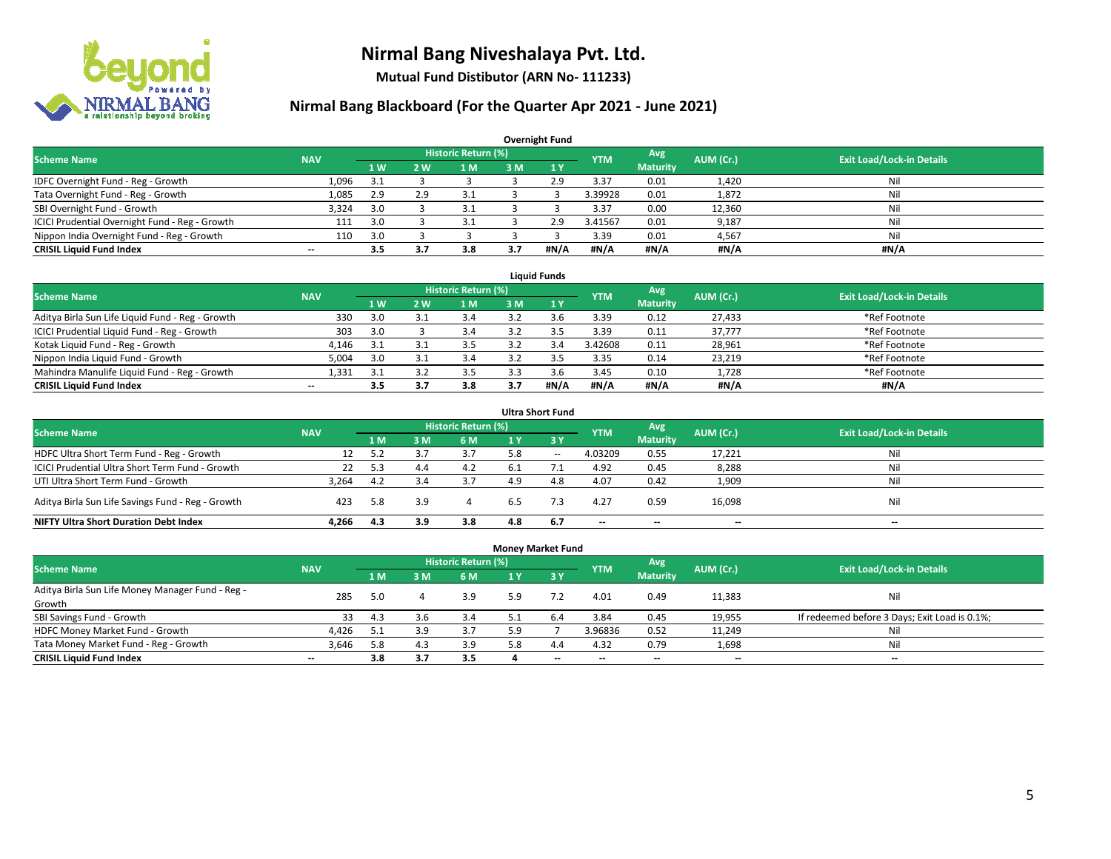

**Mutual Fund Distibutor (ARN No- 111233)**

| <b>Overnight Fund</b>                          |            |     |     |                            |     |      |            |                 |           |                                  |  |  |  |  |
|------------------------------------------------|------------|-----|-----|----------------------------|-----|------|------------|-----------------|-----------|----------------------------------|--|--|--|--|
| <b>Scheme Name</b>                             | <b>NAV</b> |     |     | <b>Historic Return (%)</b> |     |      | <b>YTM</b> | Avg             | AUM (Cr.) | <b>Exit Load/Lock-in Details</b> |  |  |  |  |
|                                                |            | 1W  | 2 W | 1 M                        | 3 M | 1Y   |            | <b>Maturity</b> |           |                                  |  |  |  |  |
| IDFC Overnight Fund - Reg - Growth             | 1,096      | 3.1 |     |                            |     | 2.9  | 3.37       | 0.01            | 1,420     | Nil                              |  |  |  |  |
| Tata Overnight Fund - Reg - Growth             | 1,085      | 2.9 | 2.9 | 3.1                        |     |      | 3.39928    | 0.01            | 1,872     | Nil                              |  |  |  |  |
| SBI Overnight Fund - Growth                    | 3,324      | 3.0 |     | 3.1                        |     |      | 3.37       | 0.00            | 12,360    | Nil                              |  |  |  |  |
| ICICI Prudential Overnight Fund - Reg - Growth | 111        | 3.0 |     | 3.1                        |     | 2.9  | 3.41567    | 0.01            | 9,187     | Nil                              |  |  |  |  |
| Nippon India Overnight Fund - Reg - Growth     | 110        | 3.0 |     |                            |     |      | 3.39       | 0.01            | 4,567     | Nil                              |  |  |  |  |
| <b>CRISIL Liquid Fund Index</b>                | $- -$      | 3.5 |     | 3.8                        | 3.7 | #N/A | #N/A       | #N/A            | #N/A      | #N/A                             |  |  |  |  |

| <b>Liquid Funds</b>                              |            |                |    |                     |      |      |            |                 |           |                                  |  |  |  |  |
|--------------------------------------------------|------------|----------------|----|---------------------|------|------|------------|-----------------|-----------|----------------------------------|--|--|--|--|
| <b>Scheme Name</b>                               | <b>NAV</b> |                |    | Historic Return (%) |      |      | <b>YTM</b> | Avg             | AUM (Cr.) | <b>Exit Load/Lock-in Details</b> |  |  |  |  |
|                                                  |            | 1 <sub>W</sub> | 2W | 1 M                 | 3 M. |      |            | <b>Maturity</b> |           |                                  |  |  |  |  |
| Aditya Birla Sun Life Liquid Fund - Reg - Growth | 330        | 3.0            |    | 3.4                 |      |      | 3.39       | 0.12            | 27,433    | *Ref Footnote                    |  |  |  |  |
| ICICI Prudential Liquid Fund - Reg - Growth      | 303        | 3.0            |    | 3.4                 |      |      | 3.39       | 0.11            | 37,777    | *Ref Footnote                    |  |  |  |  |
| Kotak Liquid Fund - Reg - Growth                 | 4.146      | -3.1           |    | 3.5                 |      |      | 3.42608    | 0.11            | 28,961    | *Ref Footnote                    |  |  |  |  |
| Nippon India Liquid Fund - Growth                | 5,004      | 3.0            |    | 3.4                 |      |      | 3.35       | 0.14            | 23,219    | *Ref Footnote                    |  |  |  |  |
| Mahindra Manulife Liquid Fund - Reg - Growth     | 1,331      | -3.1           |    | 3.5                 |      |      | 3.45       | 0.10            | 1,728     | *Ref Footnote                    |  |  |  |  |
| <b>CRISIL Liquid Fund Index</b>                  | $- -$      | 3.5            |    | 3.8                 | 3.7  | #N/A | #N/A       | #N/A            | #N/A      | #N/A                             |  |  |  |  |

| <b>Ultra Short Fund</b>                           |            |     |     |                            |     |       |                          |                          |           |                                  |  |  |  |
|---------------------------------------------------|------------|-----|-----|----------------------------|-----|-------|--------------------------|--------------------------|-----------|----------------------------------|--|--|--|
| <b>Scheme Name</b>                                | <b>NAV</b> |     |     | <b>Historic Return (%)</b> |     |       | <b>YTM</b>               | Avg                      | AUM (Cr.) | <b>Exit Load/Lock-in Details</b> |  |  |  |
|                                                   |            | 1 M | 3 M | 6 M                        | 1 Y | 3Y    |                          | <b>Maturity</b>          |           |                                  |  |  |  |
| HDFC Ultra Short Term Fund - Reg - Growth         | 12         | 5.2 |     | 3.7                        | 5.8 | $- -$ | 4.03209                  | 0.55                     | 17,221    | Nil                              |  |  |  |
| ICICI Prudential Ultra Short Term Fund - Growth   | 22         | 5.3 | 4.4 | 4.2                        | 6.1 |       | 4.92                     | 0.45                     | 8,288     | Nil                              |  |  |  |
| UTI Ultra Short Term Fund - Growth                | 3.264      | 4.2 |     | 3.7                        | 4.9 | 4.8   | 4.07                     | 0.42                     | 1,909     | Ni                               |  |  |  |
| Aditya Birla Sun Life Savings Fund - Reg - Growth | 423        | 5.8 | 3.9 | 4                          | 6.5 | 7.3   | 4.27                     | 0.59                     | 16,098    | Nil                              |  |  |  |
| <b>NIFTY Ultra Short Duration Debt Index</b>      | 4.266      | 4.3 | 3.9 | 3.8                        | 4.8 | 6.7   | $\overline{\phantom{a}}$ | $\overline{\phantom{a}}$ | $- -$     | $-$                              |  |  |  |

| <b>Money Market Fund</b>                         |            |     |     |                            |     |         |                          |                          |           |                                               |  |  |  |  |
|--------------------------------------------------|------------|-----|-----|----------------------------|-----|---------|--------------------------|--------------------------|-----------|-----------------------------------------------|--|--|--|--|
| <b>Scheme Name</b>                               | <b>NAV</b> |     |     | <b>Historic Return (%)</b> |     |         | <b>YTM</b>               | Avg                      | AUM (Cr.) | <b>Exit Load/Lock-in Details</b>              |  |  |  |  |
|                                                  |            | 1 M | 3M  | 6 M                        | 1 Y | $Z_3$ Y |                          | <b>Maturity</b>          |           |                                               |  |  |  |  |
| Aditya Birla Sun Life Money Manager Fund - Reg - | 285        | 5.0 |     | 3.9                        |     |         | 4.01                     | 0.49                     | 11,383    | Nil                                           |  |  |  |  |
| Growth                                           |            |     | 4   |                            | 5.9 |         |                          |                          |           |                                               |  |  |  |  |
| SBI Savings Fund - Growth                        | 33         | 4.3 | 3.6 | 3.4                        |     | 6.4     | 3.84                     | 0.45                     | 19,955    | If redeemed before 3 Days; Exit Load is 0.1%; |  |  |  |  |
| HDFC Money Market Fund - Growth                  | 4,426      | 5.1 | 3.9 | 3.7                        | و.ز |         | 3.96836                  | 0.52                     | 11,249    | Nil                                           |  |  |  |  |
| Tata Money Market Fund - Reg - Growth            | 3,646      | 5.8 | 4.3 | 3.9                        | 5.8 | 4.4     | 4.32                     | 0.79                     | 1,698     | Nil                                           |  |  |  |  |
| <b>CRISIL Liquid Fund Index</b>                  | $- -$      | 3.8 | 3.7 | 3.5                        |     | $- -$   | $\overline{\phantom{a}}$ | $\overline{\phantom{a}}$ | $- -$     | $- -$                                         |  |  |  |  |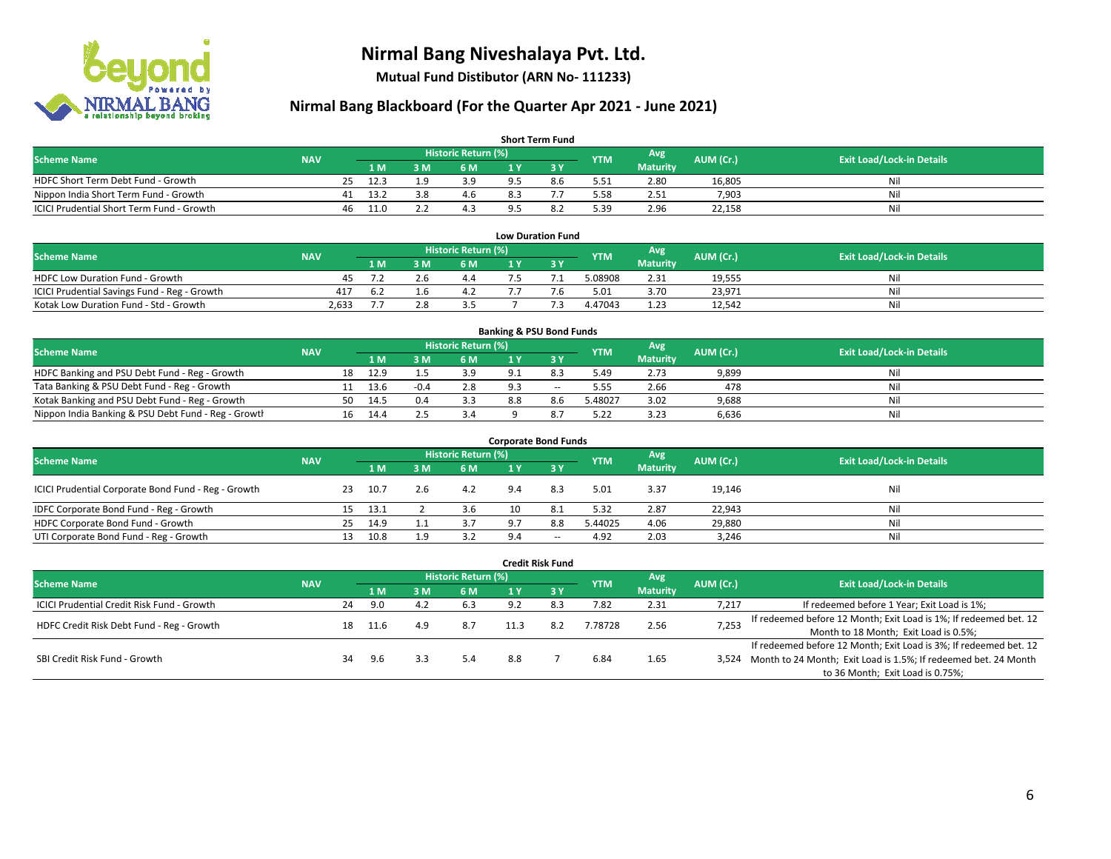

**Mutual Fund Distibutor (ARN No- 111233)**

| <b>Short Term Fund</b>                    |            |    |      |     |                            |     |     |            |                 |           |                                  |  |  |  |
|-------------------------------------------|------------|----|------|-----|----------------------------|-----|-----|------------|-----------------|-----------|----------------------------------|--|--|--|
| <b>Scheme Name</b>                        | <b>NAV</b> |    |      |     | <b>Historic Return (%)</b> |     |     | <b>YTM</b> | Avg             | AUM (Cr.) | <b>Exit Load/Lock-in Details</b> |  |  |  |
|                                           |            |    | 1 M. | 3 M | 6 M                        | 1 V |     |            | <b>Maturity</b> |           |                                  |  |  |  |
| HDFC Short Term Debt Fund - Growth        |            | 25 | 12.3 | 1 ດ | 3.9                        |     | 8.6 | 5.51       | 2.80            | 16,805    | Nil                              |  |  |  |
| Nippon India Short Term Fund - Growth     |            | 41 | 13.2 | 3.8 | 4.6                        |     |     | 5.58       | 2.51            | 7,903     | Nil                              |  |  |  |
| ICICI Prudential Short Term Fund - Growth |            | 46 | 11.0 |     |                            |     |     | 5.39       | 2.96            | 22,158    | Nil                              |  |  |  |

| <b>Low Duration Fund</b>                     |            |      |  |                     |  |  |            |                 |           |                                  |  |  |  |
|----------------------------------------------|------------|------|--|---------------------|--|--|------------|-----------------|-----------|----------------------------------|--|--|--|
| <b>Scheme Name</b>                           | <b>NAV</b> |      |  | Historic Return (%) |  |  | <b>YTM</b> | Avg             | AUM (Cr.) | <b>Exit Load/Lock-in Details</b> |  |  |  |
|                                              |            | 1 M. |  | 6 M                 |  |  |            | <b>Maturity</b> |           |                                  |  |  |  |
| <b>HDFC Low Duration Fund - Growth</b>       | 45         |      |  | 4.4                 |  |  | 5.08908    | 2.31            | 19,555    | Nil                              |  |  |  |
| ICICI Prudential Savings Fund - Reg - Growth | 417        | 6.2  |  | 4.2                 |  |  | 5.01       | 3.70            | 23,971    | Nil                              |  |  |  |
| Kotak Low Duration Fund - Std - Growth       | 2.633      |      |  |                     |  |  | 4.47043    | 1.23            | 12,542    | Nil                              |  |  |  |

| <b>Banking &amp; PSU Bond Funds</b>                 |            |    |      |        |                     |     |        |            |                 |           |                                  |  |  |  |
|-----------------------------------------------------|------------|----|------|--------|---------------------|-----|--------|------------|-----------------|-----------|----------------------------------|--|--|--|
| <b>Scheme Name</b>                                  | <b>NAV</b> |    |      |        | Historic Return (%) |     |        | <b>YTM</b> | Avg             | AUM (Cr.) | <b>Exit Load/Lock-in Details</b> |  |  |  |
|                                                     |            |    | 1 M  | . M    | <b>6M</b>           |     |        |            | <b>Maturity</b> |           |                                  |  |  |  |
| HDFC Banking and PSU Debt Fund - Reg - Growth       |            | 18 | 12.9 |        | 3.9                 |     |        | 5.49       | 2.73            | 9,899     | Nil                              |  |  |  |
| Tata Banking & PSU Debt Fund - Reg - Growth         |            | 11 | 13.6 | $-0.4$ | 2.8                 |     | $\sim$ | 5.55       | 2.66            | 478       | Nil                              |  |  |  |
| Kotak Banking and PSU Debt Fund - Reg - Growth      |            | 50 | 14.5 | 0.4    | 3.3                 | 8.8 | 8.6    | 5.48027    | 3.02            | 9,688     | Nil                              |  |  |  |
| Nippon India Banking & PSU Debt Fund - Reg - Growth |            | 16 | 14.4 |        | 3.4                 |     |        | 5.22       | 3.23            | 6,636     | Nil                              |  |  |  |

| <b>Corporate Bond Funds</b>                         |            |    |      |          |                     |     |        |            |                 |           |                                  |  |  |  |
|-----------------------------------------------------|------------|----|------|----------|---------------------|-----|--------|------------|-----------------|-----------|----------------------------------|--|--|--|
| <b>Scheme Name</b>                                  |            |    |      |          | Historic Return (%) |     |        | <b>YTM</b> | Avg             | AUM (Cr.) | <b>Exit Load/Lock-in Details</b> |  |  |  |
|                                                     | <b>NAV</b> |    | 1 M  | <b>M</b> | 6 M                 | 1 Y |        |            | <b>Maturity</b> |           |                                  |  |  |  |
| ICICI Prudential Corporate Bond Fund - Reg - Growth |            | 23 | 10.7 |          | 4.2                 | 9.4 | 8.3    | 5.01       | 3.37            | 19,146    | Nil                              |  |  |  |
| IDFC Corporate Bond Fund - Reg - Growth             |            | 15 | 13.1 |          | 3.6                 |     | -8.1   | 5.32       | 2.87            | 22,943    | Nil                              |  |  |  |
| HDFC Corporate Bond Fund - Growth                   |            | 25 | 14.9 |          | 3.7                 | 9.7 | 8.8    | 5.44025    | 4.06            | 29,880    | Nil                              |  |  |  |
| UTI Corporate Bond Fund - Reg - Growth              |            | 13 | 10.8 |          | 3.2                 | 9.4 | $\sim$ | 4.92       | 2.03            | 3,246     | Nil                              |  |  |  |

| <b>Credit Risk Fund</b>                    |            |    |      |     |                            |      |           |            |                        |           |                                                                       |  |
|--------------------------------------------|------------|----|------|-----|----------------------------|------|-----------|------------|------------------------|-----------|-----------------------------------------------------------------------|--|
| <b>Scheme Name</b>                         | <b>NAV</b> |    |      |     | <b>Historic Return (%)</b> |      |           | <b>YTM</b> | Avg<br><b>Maturity</b> | AUM (Cr.) | <b>Exit Load/Lock-in Details</b>                                      |  |
|                                            |            |    | 1 M  | : M | 6 M                        | 1 Y  | $Z$ 3 $V$ |            |                        |           |                                                                       |  |
| ICICI Prudential Credit Risk Fund - Growth |            | 24 | 9.0  | 4.2 | 6.3                        | 9.2  | 8.3       | 7.82       | 2.31                   | 7,217     | If redeemed before 1 Year; Exit Load is 1%;                           |  |
| HDFC Credit Risk Debt Fund - Reg - Growth  |            | 18 | 11.6 | 4.9 | 8.7                        | 11.3 |           | 7.78728    | 2.56                   | 7,253     | If redeemed before 12 Month; Exit Load is 1%; If redeemed bet. 12     |  |
|                                            |            |    |      |     |                            |      |           |            |                        |           | Month to 18 Month; Exit Load is 0.5%;                                 |  |
|                                            |            |    |      |     |                            |      |           |            |                        |           | If redeemed before 12 Month; Exit Load is 3%; If redeemed bet. 12     |  |
| SBI Credit Risk Fund - Growth              |            | 34 | 9.6  |     | 5.4                        | 8.8  |           | 6.84       | 1.65                   |           | 3,524 Month to 24 Month; Exit Load is 1.5%; If redeemed bet. 24 Month |  |
|                                            |            |    |      |     |                            |      |           |            |                        |           | to 36 Month; Exit Load is 0.75%;                                      |  |